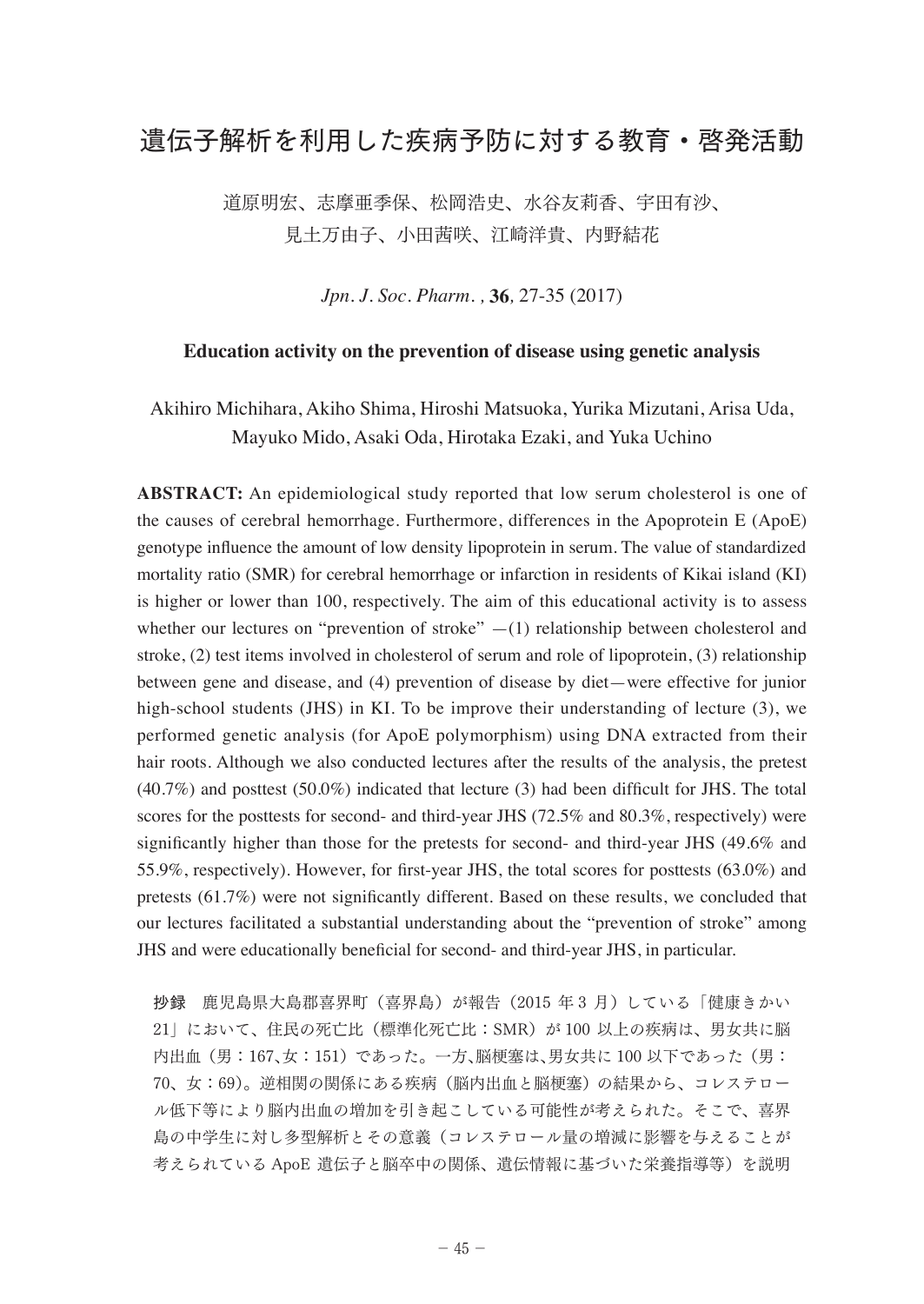## 遺伝子解析を利用した疾病予防に対する教育・啓発活動

道原明宏、志摩亜季保、松岡浩史、水谷友莉香、宇田有沙、 見土万由子、小田茜咲、江崎洋貴、内野結花

*Jpn. J. Soc. Pharm. ,* **36***,* 27-35 (2017)

## **Education activity on the prevention of disease using genetic analysis**

Akihiro Michihara, Akiho Shima, Hiroshi Matsuoka, Yurika Mizutani, Arisa Uda, Mayuko Mido, Asaki Oda, Hirotaka Ezaki, and Yuka Uchino

**ABSTRACT:** An epidemiological study reported that low serum cholesterol is one of the causes of cerebral hemorrhage. Furthermore, differences in the Apoprotein E (ApoE) genotype influence the amount of low density lipoprotein in serum. The value of standardized mortality ratio (SMR) for cerebral hemorrhage or infarction in residents of Kikai island (KI) is higher or lower than 100, respectively. The aim of this educational activity is to assess whether our lectures on "prevention of stroke"  $-(1)$  relationship between cholesterol and stroke, (2) test items involved in cholesterol of serum and role of lipoprotein, (3) relationship between gene and disease, and (4) prevention of disease by diet—were effective for junior high-school students (JHS) in KI. To be improve their understanding of lecture (3), we performed genetic analysis (for ApoE polymorphism) using DNA extracted from their hair roots. Although we also conducted lectures after the results of the analysis, the pretest (40.7%) and posttest (50.0%) indicated that lecture (3) had been difficult for JHS. The total scores for the posttests for second- and third-year JHS (72.5% and 80.3%, respectively) were significantly higher than those for the pretests for second- and third-year JHS (49.6% and 55.9%, respectively). However, for first-year JHS, the total scores for posttests (63.0%) and pretests (61.7%) were not significantly different. Based on these results, we concluded that our lectures facilitated a substantial understanding about the "prevention of stroke" among JHS and were educationally beneficial for second- and third-year JHS, in particular.

抄録 鹿児島県大島郡喜界町(喜界島)が報告(2015 年 3 月) している「健康きかい 21」において、住民の死亡比(標準化死亡比:SMR)が 100 以上の疾病は、男女共に脳 内出血(男:167、女:151)であった。一方、脳梗塞は、男女共に 100 以下であった(男: 70、女:69)。逆相関の関係にある疾病(脳内出血と脳梗塞) の結果から、コレステロー ル低下等により脳内出血の増加を引き起こしている可能性が考えられた。そこで、喜界 島の中学生に対し多型解析とその意義(コレステロール量の増減に影響を与えることが 考えられている ApoE 遺伝子と脳卒中の関係、遺伝情報に基づいた栄養指導等)を説明